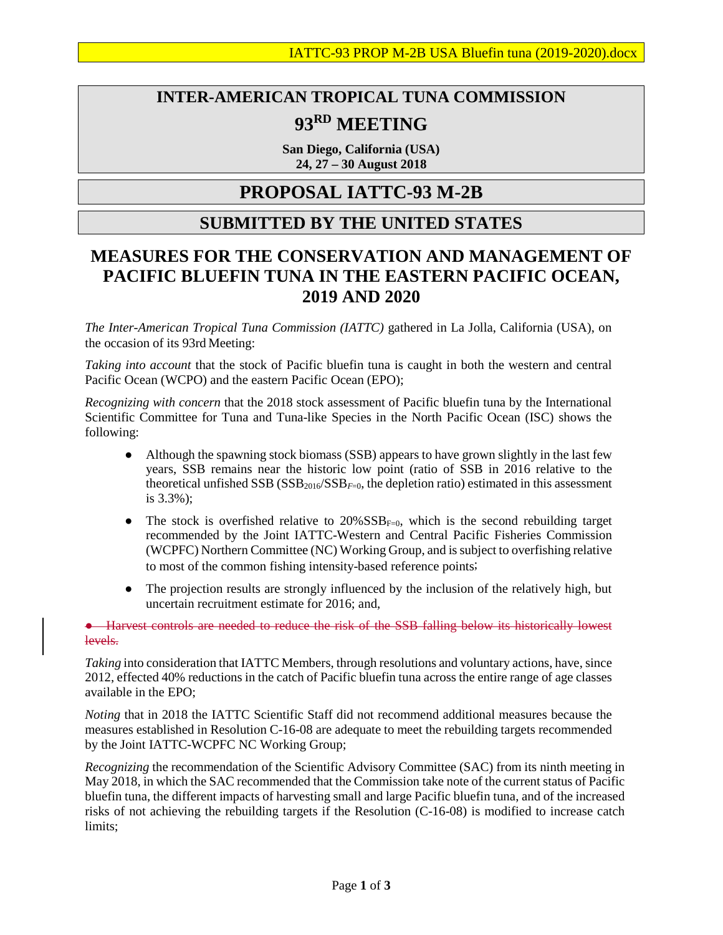## **INTER-AMERICAN TROPICAL TUNA COMMISSION 93RD MEETING**

**San Diego, California (USA) 24, 27 – 30 August 2018**

## **PROPOSAL IATTC-93 M-2B**

## **SUBMITTED BY THE UNITED STATES**

## **MEASURES FOR THE CONSERVATION AND MANAGEMENT OF PACIFIC BLUEFIN TUNA IN THE EASTERN PACIFIC OCEAN, 2019 AND 2020**

*The Inter-American Tropical Tuna Commission (IATTC)* gathered in La Jolla, California (USA), on the occasion of its 93rd Meeting:

*Taking into account* that the stock of Pacific bluefin tuna is caught in both the western and central Pacific Ocean (WCPO) and the eastern Pacific Ocean (EPO);

*Recognizing with concern* that the 2018 stock assessment of Pacific bluefin tuna by the International Scientific Committee for Tuna and Tuna-like Species in the North Pacific Ocean (ISC) shows the following:

- Although the spawning stock biomass (SSB) appears to have grown slightly in the last few years, SSB remains near the historic low point (ratio of SSB in 2016 relative to the theoretical unfished SSB (SSB<sub>2016</sub>/SSB<sub>F=0</sub>, the depletion ratio) estimated in this assessment is 3.3%);
- The stock is overfished relative to  $20\% SSB_{F=0}$ , which is the second rebuilding target recommended by the Joint IATTC-Western and Central Pacific Fisheries Commission (WCPFC) Northern Committee (NC) Working Group, and is subject to overfishing relative to most of the common fishing intensity-based reference points;
- The projection results are strongly influenced by the inclusion of the relatively high, but uncertain recruitment estimate for 2016; and,

● Harvest controls are needed to reduce the risk of the SSB falling below its historically lowest levels.

*Taking* into consideration that IATTC Members, through resolutions and voluntary actions, have, since 2012, effected 40% reductions in the catch of Pacific bluefin tuna across the entire range of age classes available in the EPO;

*Noting* that in 2018 the IATTC Scientific Staff did not recommend additional measures because the measures established in Resolution C-16-08 are adequate to meet the rebuilding targets recommended by the Joint IATTC-WCPFC NC Working Group;

*Recognizing* the recommendation of the Scientific Advisory Committee (SAC) from its ninth meeting in May 2018, in which the SAC recommended that the Commission take note of the current status of Pacific bluefin tuna, the different impacts of harvesting small and large Pacific bluefin tuna, and of the increased risks of not achieving the rebuilding targets if the Resolution (C-16-08) is modified to increase catch limits;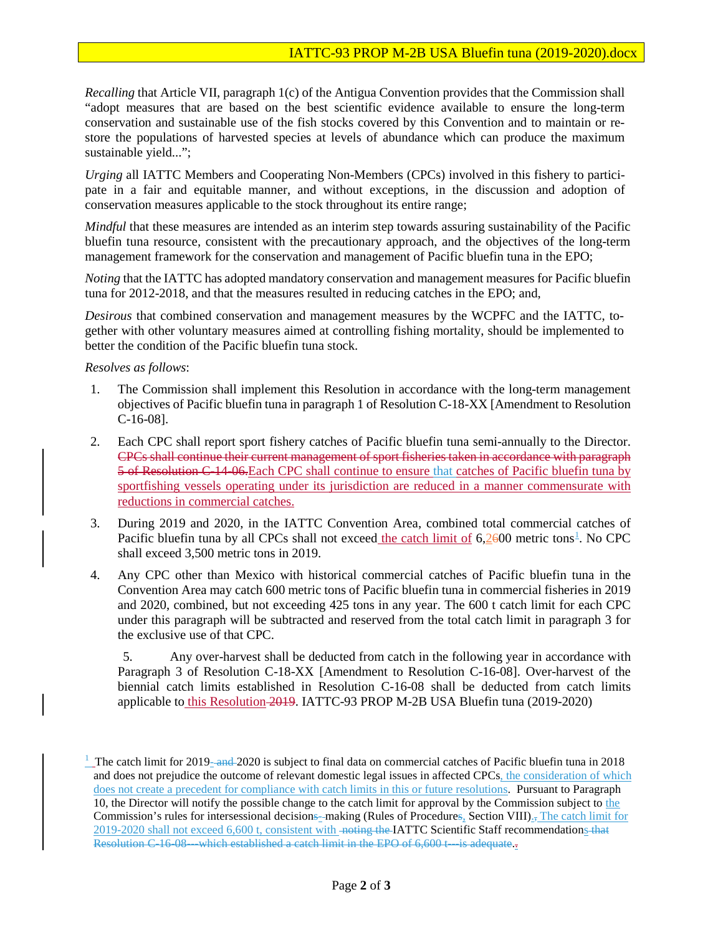*Recalling* that Article VII, paragraph 1(c) of the Antigua Convention provides that the Commission shall "adopt measures that are based on the best scientific evidence available to ensure the long-term conservation and sustainable use of the fish stocks covered by this Convention and to maintain or restore the populations of harvested species at levels of abundance which can produce the maximum sustainable yield...";

*Urging* all IATTC Members and Cooperating Non-Members (CPCs) involved in this fishery to participate in a fair and equitable manner, and without exceptions, in the discussion and adoption of conservation measures applicable to the stock throughout its entire range;

*Mindful* that these measures are intended as an interim step towards assuring sustainability of the Pacific bluefin tuna resource, consistent with the precautionary approach, and the objectives of the long-term management framework for the conservation and management of Pacific bluefin tuna in the EPO;

*Noting* that the IATTC has adopted mandatory conservation and management measures for Pacific bluefin tuna for 2012-2018, and that the measures resulted in reducing catches in the EPO; and,

*Desirous* that combined conservation and management measures by the WCPFC and the IATTC, together with other voluntary measures aimed at controlling fishing mortality, should be implemented to better the condition of the Pacific bluefin tuna stock.

*Resolves as follows*:

- 1. The Commission shall implement this Resolution in accordance with the long-term management objectives of Pacific bluefin tuna in paragraph 1 of Resolution C-18-XX [Amendment to Resolution C-16-08].
- 2. Each CPC shall report sport fishery catches of Pacific bluefin tuna semi-annually to the Director. CPCs shall continue their current management of sport fisheries taken in accordance with paragraph 5 of Resolution C-14-06.Each CPC shall continue to ensure that catches of Pacific bluefin tuna by sportfishing vessels operating under its jurisdiction are reduced in a manner commensurate with reductions in commercial catches.
- 3. During 2019 and 2020, in the IATTC Convention Area, combined total commercial catches of Pacific bluefin tuna by all CPCs shall not exceed the catch limit of 6,2600 metric tons<sup>[1](#page-1-0)</sup>. No CPC shall exceed 3,500 metric tons in 2019.
- 4. Any CPC other than Mexico with historical commercial catches of Pacific bluefin tuna in the Convention Area may catch 600 metric tons of Pacific bluefin tuna in commercial fisheries in 2019 and 2020, combined, but not exceeding 425 tons in any year. The 600 t catch limit for each CPC under this paragraph will be subtracted and reserved from the total catch limit in paragraph 3 for the exclusive use of that CPC.

5. Any over-harvest shall be deducted from catch in the following year in accordance with Paragraph 3 of Resolution C-18-XX [Amendment to Resolution C-16-08]. Over-harvest of the biennial catch limits established in Resolution C-16-08 shall be deducted from catch limits applicable to this Resolution 2019. IATTC-93 PROP M-2B USA Bluefin tuna (2019-2020)

<span id="page-1-0"></span><sup>&</sup>lt;sup>1</sup> The catch limit for 2019-and 2020 is subject to final data on commercial catches of Pacific bluefin tuna in 2018 and does not prejudice the outcome of relevant domestic legal issues in affected CPCs, the consideration of which does not create a precedent for compliance with catch limits in this or future resolutions. Pursuant to Paragraph 10, the Director will notify the possible change to the catch limit for approval by the Commission subject to the Commission's rules for intersessional decisions-making (Rules of Procedures, Section VIII)., The catch limit for 2019-2020 shall not exceed 6,600 t, consistent with noting the IATTC Scientific Staff recommendations that Resolution C-16-08 ---which established a catch limit in the EPO of 6,600 t---is adequate.